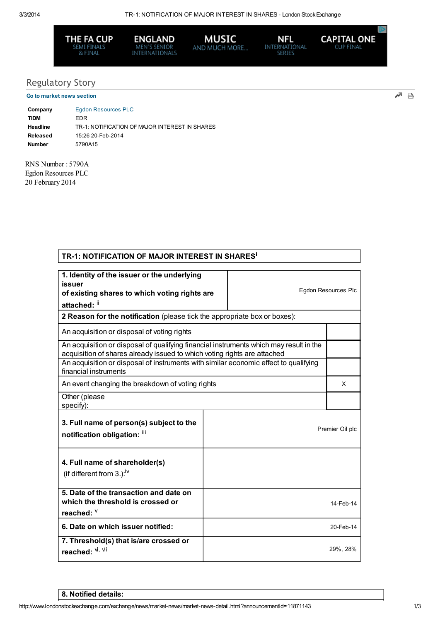

**ENGLAND** MEN'S SENIOR<br>INTERNATIONALS



**NFL**<br>International<br>Series

**CAPITAL ONE** 

## Regulatory Story Go to market news section

교 음

| Company  | <b>Egdon Resources PLC</b>                     |
|----------|------------------------------------------------|
| TIDM     | FDR                                            |
| Headline | TR-1: NOTIFICATION OF MAJOR INTEREST IN SHARES |
| Released | 15:26 20-Feb-2014                              |
| Number   | 5790A15                                        |

RNS Number : 5790A Egdon Resources PLC 20 February 2014

| TR-1: NOTIFICATION OF MAJOR INTEREST IN SHARES <sup>i</sup>                                                                                                        |  |  |                     |  |
|--------------------------------------------------------------------------------------------------------------------------------------------------------------------|--|--|---------------------|--|
|                                                                                                                                                                    |  |  |                     |  |
| 1. Identity of the issuer or the underlying<br>issuer<br>of existing shares to which voting rights are<br>attached: ii                                             |  |  | Egdon Resources Plc |  |
| 2 Reason for the notification (please tick the appropriate box or boxes):                                                                                          |  |  |                     |  |
| An acquisition or disposal of voting rights                                                                                                                        |  |  |                     |  |
| An acquisition or disposal of qualifying financial instruments which may result in the<br>acquisition of shares already issued to which voting rights are attached |  |  |                     |  |
| An acquisition or disposal of instruments with similar economic effect to qualifying<br>financial instruments                                                      |  |  |                     |  |
| An event changing the breakdown of voting rights                                                                                                                   |  |  | X                   |  |
| Other (please<br>specify):                                                                                                                                         |  |  |                     |  |
| 3. Full name of person(s) subject to the<br>notification obligation: iii                                                                                           |  |  | Premier Oil plc     |  |
| 4. Full name of shareholder(s)<br>(if different from $3.$ ): <sup>iv</sup>                                                                                         |  |  |                     |  |
| 5. Date of the transaction and date on<br>which the threshold is crossed or<br>reached: V                                                                          |  |  | 14-Feb-14           |  |
| 6. Date on which issuer notified:                                                                                                                                  |  |  | 20-Feb-14           |  |
| 7. Threshold(s) that is/are crossed or<br>reached: Vi, Vil                                                                                                         |  |  | 29%, 28%            |  |

8. Notified details: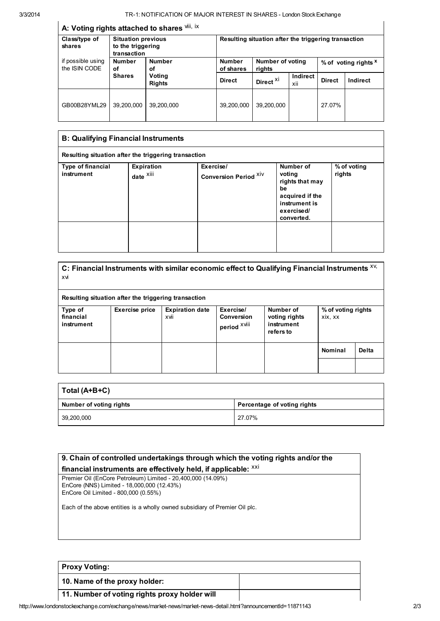## A: Voting rights attached to shares <sup>viii, ix</sup>

| $\sim$ . Towng rights allached to shares |                                                               |                                                |                                                      |                            |                 |                                 |          |
|------------------------------------------|---------------------------------------------------------------|------------------------------------------------|------------------------------------------------------|----------------------------|-----------------|---------------------------------|----------|
| Class/type of<br>shares                  | <b>Situation previous</b><br>to the triggering<br>transaction |                                                | Resulting situation after the triggering transaction |                            |                 |                                 |          |
| if possible using<br>the ISIN CODE       | <b>Number</b><br>οf                                           | <b>Number</b><br>οf<br>Voting<br><b>Rights</b> | <b>Number</b><br>of shares                           | Number of voting<br>rights |                 | % of voting rights <sup>x</sup> |          |
|                                          | <b>Shares</b>                                                 |                                                | <b>Direct</b>                                        | Direct <sup>Xi</sup>       | Indirect<br>xii | <b>Direct</b>                   | Indirect |
| GB00B28YML29                             | 39.200.000                                                    | 39,200,000                                     | 39,200,000                                           | 39,200,000                 |                 | 27.07%                          |          |

| <b>B: Qualifying Financial Instruments</b> |                                                      |                                    |                                                                                                              |                       |  |  |
|--------------------------------------------|------------------------------------------------------|------------------------------------|--------------------------------------------------------------------------------------------------------------|-----------------------|--|--|
|                                            | Resulting situation after the triggering transaction |                                    |                                                                                                              |                       |  |  |
| <b>Type of financial</b><br>instrument     | Expiration<br>date <sup>xiii</sup>                   | Exercise/<br>Conversion Period XIV | Number of<br>voting<br>rights that may<br>be<br>acquired if the<br>instrument is<br>exercised/<br>converted. | % of voting<br>rights |  |  |
|                                            |                                                      |                                    |                                                                                                              |                       |  |  |

| xvi                                |                                                      |                                |                                                | C: Financial Instruments with similar economic effect to Qualifying Financial Instruments XV. |                               |       |
|------------------------------------|------------------------------------------------------|--------------------------------|------------------------------------------------|-----------------------------------------------------------------------------------------------|-------------------------------|-------|
|                                    | Resulting situation after the triggering transaction |                                |                                                |                                                                                               |                               |       |
| Type of<br>financial<br>instrument | Exercise price                                       | <b>Expiration date</b><br>xvii | Exercise/<br><b>Conversion</b><br>period XVIII | Number of<br>voting rights<br>instrument<br>refers to                                         | % of voting rights<br>xix, xx |       |
|                                    |                                                      |                                |                                                |                                                                                               | <b>Nominal</b>                | Delta |
|                                    |                                                      |                                |                                                |                                                                                               |                               |       |

| Total (A+B+C)           |                             |  |  |
|-------------------------|-----------------------------|--|--|
| Number of voting rights | Percentage of voting rights |  |  |
| 39,200,000              | 27.07%                      |  |  |

| 9. Chain of controlled undertakings through which the voting rights and/or the |  |  |  |
|--------------------------------------------------------------------------------|--|--|--|
| financial instruments are effectively held, if applicable: XXI                 |  |  |  |
| Premier Oil (EnCore Petroleum) Limited - 20,400,000 (14.09%)                   |  |  |  |
| EnCore (NNS) Limited - 18,000,000 (12.43%)                                     |  |  |  |
| EnCore Oil Limited - 800,000 (0.55%)                                           |  |  |  |
| Each of the above entities is a wholly owned subsidiary of Premier Oil plc.    |  |  |  |
|                                                                                |  |  |  |
|                                                                                |  |  |  |

| <b>Proxy Voting:</b>                          |  |
|-----------------------------------------------|--|
| 10. Name of the proxy holder:                 |  |
| 11. Number of voting rights proxy holder will |  |

 $\overline{\phantom{a}}$